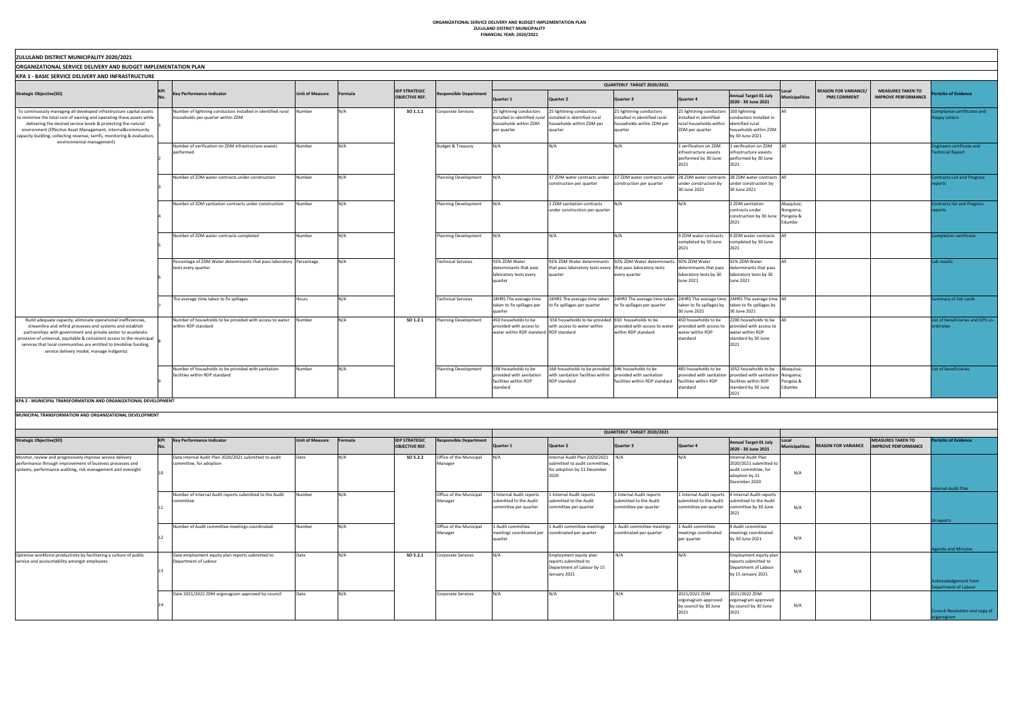**ORGANIZATIONAL SERVICE DELIVERY AND BUDGET IMPLEMENTATION PLAN ZULULAND DISTRICT MUNICIPALITY FINANCIAL YEAR: 2020/2021**

| ZULULAND DISTRICT MUNICIPALITY 2020/2021                                                                                                                                                                                                                                                                                                                                                  |                                                                                                          |                        |         |                                               |                              |                                                                                                   |                                                                                                                                  |                                                                                                                                             |                                                                                                                  |                                                                                                                                                        |                                               |                                                   |                                                        |                                                |
|-------------------------------------------------------------------------------------------------------------------------------------------------------------------------------------------------------------------------------------------------------------------------------------------------------------------------------------------------------------------------------------------|----------------------------------------------------------------------------------------------------------|------------------------|---------|-----------------------------------------------|------------------------------|---------------------------------------------------------------------------------------------------|----------------------------------------------------------------------------------------------------------------------------------|---------------------------------------------------------------------------------------------------------------------------------------------|------------------------------------------------------------------------------------------------------------------|--------------------------------------------------------------------------------------------------------------------------------------------------------|-----------------------------------------------|---------------------------------------------------|--------------------------------------------------------|------------------------------------------------|
| <b>ORGANIZATIONAL SERVICE DELIVERY AND BUDGET IMPLEMENTATION PLAN</b>                                                                                                                                                                                                                                                                                                                     |                                                                                                          |                        |         |                                               |                              |                                                                                                   |                                                                                                                                  |                                                                                                                                             |                                                                                                                  |                                                                                                                                                        |                                               |                                                   |                                                        |                                                |
| <b>KPA 1 - BASIC SERVICE DELIVERY AND INFRASTRUCTURE</b>                                                                                                                                                                                                                                                                                                                                  |                                                                                                          |                        |         |                                               |                              |                                                                                                   |                                                                                                                                  |                                                                                                                                             |                                                                                                                  |                                                                                                                                                        |                                               |                                                   |                                                        |                                                |
|                                                                                                                                                                                                                                                                                                                                                                                           |                                                                                                          |                        |         |                                               |                              |                                                                                                   |                                                                                                                                  | QUARTERLY TARGET 2020/2021                                                                                                                  |                                                                                                                  |                                                                                                                                                        |                                               |                                                   |                                                        |                                                |
| <b>Strategic Objective(SO)</b>                                                                                                                                                                                                                                                                                                                                                            | <b>Key Performance Indicator</b>                                                                         | <b>Unit of Measure</b> | Formula | <b>IDP STRATEGIC</b><br><b>OBJECTIVE REF.</b> | Responsible Department       | Quarter 1                                                                                         | Quarter 2                                                                                                                        | Quarter 3                                                                                                                                   | Quarter 4                                                                                                        | Annual Target 01 July<br>2020 - 30 June 2021                                                                                                           | Local<br>Municipalities                       | <b>REASON FOR VARIANCE/</b><br><b>PMS COMMENT</b> | <b>MEASURES TAKEN TO</b><br><b>IMPROVE PERFORMANCE</b> | <b>prtolio of Evidence</b>                     |
| To continuously managing all developed infrastructure capital assets<br>to minimize the total cost of owning and operating these assets while<br>delivering the desired service levels & protecting the natural<br>environment (Effective Asset Management, internal&community<br>capacity building, collecting revenue, tarrifs, monitoring & evaluation,                                | Number of lightning conductors installed in identified rural Number<br>households per quarter within ZDM |                        | N/A     | SO 1.1.1                                      | Corporate Services           | 25 lightining conductors<br>installed in identified rural<br>households within ZDM<br>per quarter | 25 lightining conductors<br>installed in identified rural<br>households within ZDM per<br>quarter                                | 25 lightining conductors<br>installed in identified rural<br>households within ZDM per<br>quarter                                           | 25 lightining conductors   100 lightning<br>nstalled in identified<br>rural households within<br>ZDM per quarter | onductors installed in<br>identified rural<br>households within ZDM<br>by 30 June 2021                                                                 |                                               |                                                   |                                                        | ompliance certifica<br>appy Letters            |
| environmental management)                                                                                                                                                                                                                                                                                                                                                                 | Number of verification on ZDM infrastructure assests<br>performed                                        | Number                 | N/A     |                                               | <b>Budget &amp; Treasury</b> | N/A                                                                                               | N/A                                                                                                                              | N/A                                                                                                                                         | 1 verification on ZDM<br>infrastructure assests<br>performed by 30 June<br>2021                                  | 1 verification on ZDM<br>nfrastructure assests<br>performed by 30 June<br>2021                                                                         |                                               |                                                   |                                                        | gineers certificate<br><b>Technical Report</b> |
|                                                                                                                                                                                                                                                                                                                                                                                           | Number of ZDM water contracts under construction                                                         | Number                 | N/A     |                                               | Planning Development         | N/A                                                                                               | 37 ZDM water contracts under<br>construction per quarter                                                                         | 37 ZDM water contracts under 28 ZDM water contracts 28 ZDM water contracts All<br>construction per quarter                                  | under construction by<br>30 June 2021                                                                            | under construction by<br>30 June 2021                                                                                                                  |                                               |                                                   |                                                        | Contracts List and P<br>norts                  |
|                                                                                                                                                                                                                                                                                                                                                                                           | Number of ZDM sanitation contracts under construction                                                    | Number                 | N/A     |                                               | Planning Development         | N/A                                                                                               | 2 ZDM sanitation contracts<br>under construction per quarter                                                                     | N/A                                                                                                                                         | N/A                                                                                                              | 2 ZDM sanitation<br>contracts under<br>construction by 30 June<br>2021                                                                                 | Abaqulusi;<br>Nongoma;<br>Pongola &<br>Edumbe |                                                   |                                                        | Contracts list and Pr<br>eports                |
|                                                                                                                                                                                                                                                                                                                                                                                           | Number of ZDM water contracts completed                                                                  | Number                 | N/A     |                                               | Planning Development         | N/A                                                                                               | N/A                                                                                                                              | N/A                                                                                                                                         | 9 ZDM water contracts<br>completed by 30 June<br>2021                                                            | 9 ZDM water contracts<br>ompleted by 30 June<br>2021                                                                                                   | $\vert$ $\Delta \vert$                        |                                                   |                                                        | ompletion certifica                            |
|                                                                                                                                                                                                                                                                                                                                                                                           | Percentage of ZDM Water determinants that pass laboratory   Percentage<br>tests every quarter            |                        | N/A     |                                               | <b>Technical Services</b>    | 92% ZDM Water<br>determinants that pass<br>laboratory tests every<br>quarter                      | that pass laboratory tests every that pass laboratory tests<br>quarter                                                           | 92% ZDM Water determinants   92% ZDM Water determinants   92% ZDM Water<br>every quarter                                                    | determinants that pass<br>laboratory tests by 30<br>June 2021                                                    | 92% ZDM Water<br>determinants that pass<br>laboratory tests by 30<br>June 2021                                                                         | <b>AII</b>                                    |                                                   |                                                        | Lab results                                    |
|                                                                                                                                                                                                                                                                                                                                                                                           | The average time taken to fix spillages                                                                  | Hours                  | N/A     |                                               | <b>Technical Services</b>    | 24HRS The average time<br>taken to fix spillages per<br>quarter                                   | to fix spillages per quarter                                                                                                     | 24HRS The average time taken 24HRS The average time taken 24HRS The average time 24HRS The average time All<br>to fix spillages per quarter | 30 June 2021                                                                                                     | taken to fix spillages by taken to fix spillages by<br>30 June 2021                                                                                    |                                               |                                                   |                                                        | mmary of Job car                               |
| Build adequate capacity, eliminate operational inefficiencies,<br>streamline and refind processes and systems and establish<br>partnerships with government and private sector to accelerate<br>provision of universal, equitable & consistent access to the municipal<br>services that local communities are entitled to (mobilise funding,<br>service delivery model, manage indigents) | Number of households to be provided with access to water Number<br>within RDP standard                   |                        | N/A     | SO 1.2.1                                      | Planning Development         | 450 households to be<br>provided with access to<br>water within RDP standard RDP standard         | 650 households to be provided 650 households to be<br>with access to water within                                                | provided with access to water<br>within RDP standard                                                                                        | 450 households to be<br>provided with access to<br>water within RDP<br>standard                                  | 2200 households to be<br>provided with access to<br>water within RDP<br>standard by 30 June<br>2021                                                    | <b>JAIL</b>                                   |                                                   |                                                        | ist of beneficiaries<br>ordinates              |
|                                                                                                                                                                                                                                                                                                                                                                                           | Number of households to be provided with sanitation<br>facilities within RDP standard                    | Number                 | N/A     |                                               | Planning Development         | 538 households to be<br>provided with sanitation<br>facilities within RDP<br>standard             | 168 households to be provided 346 households to be<br>with sanitation facilities within provided with sanitation<br>RDP standard | facilities within RDP standard                                                                                                              | 485 households to be<br>facilities within RDP<br>standard                                                        | 1052 households to be Abagulusi;<br>provided with sanitation provided with sanitation Nongoma;<br>facilities within RDP<br>standard by 30 June<br>2021 | Pongola &<br>Edumbe                           |                                                   |                                                        | ist of beneficiaries                           |
| KPA 2 - MUNICIPAL TRANSFORMATION AND ORGANIZATIONAL DEVELOPMENT                                                                                                                                                                                                                                                                                                                           |                                                                                                          |                        |         |                                               |                              |                                                                                                   |                                                                                                                                  |                                                                                                                                             |                                                                                                                  |                                                                                                                                                        |                                               |                                                   |                                                        |                                                |

| ly    | Local<br><b>Municipalities</b> | <b>REASON FOR VARIANCE/</b><br><b>PMS COMMENT</b> | <b>MEASURES TAKEN TO</b><br><b>IMPROVE PERFORMANCE</b> | <b>Portolio of Evidence</b>                   |
|-------|--------------------------------|---------------------------------------------------|--------------------------------------------------------|-----------------------------------------------|
|       |                                |                                                   |                                                        |                                               |
|       | All                            |                                                   |                                                        | Compliance certificates and                   |
| in    |                                |                                                   |                                                        | <b>Happy Letters</b>                          |
|       |                                |                                                   |                                                        |                                               |
| DM    |                                |                                                   |                                                        |                                               |
|       |                                |                                                   |                                                        |                                               |
| л     | All                            |                                                   |                                                        | <b>Engineers certificate and</b>              |
| s     |                                |                                                   |                                                        | <b>Technical Report</b>                       |
| ıe    |                                |                                                   |                                                        |                                               |
|       |                                |                                                   |                                                        |                                               |
| acts  | All                            |                                                   |                                                        | <b>Contracts List and Progress</b>            |
| эy    |                                |                                                   |                                                        | reports                                       |
|       |                                |                                                   |                                                        |                                               |
|       |                                |                                                   |                                                        |                                               |
|       | Abaqulusi;<br>Nongoma;         |                                                   |                                                        | <b>Contracts list and Progress</b><br>reports |
| une   | Pongola &                      |                                                   |                                                        |                                               |
|       | Edumbe                         |                                                   |                                                        |                                               |
|       |                                |                                                   |                                                        |                                               |
| cts   | All                            |                                                   |                                                        | <b>Completion certificate</b>                 |
| ١e    |                                |                                                   |                                                        |                                               |
|       |                                |                                                   |                                                        |                                               |
|       | All                            |                                                   |                                                        | Lab results                                   |
| ass   |                                |                                                   |                                                        |                                               |
| 0     |                                |                                                   |                                                        |                                               |
|       |                                |                                                   |                                                        |                                               |
|       |                                |                                                   |                                                        |                                               |
| :ime  | All                            |                                                   |                                                        | Summary of Job cards                          |
| by    |                                |                                                   |                                                        |                                               |
|       |                                |                                                   |                                                        |                                               |
| be    | All                            |                                                   |                                                        | List of beneficiaries and GPS co-             |
| s to  |                                |                                                   |                                                        | ordinates                                     |
|       |                                |                                                   |                                                        |                                               |
|       |                                |                                                   |                                                        |                                               |
|       |                                |                                                   |                                                        |                                               |
|       |                                |                                                   |                                                        |                                               |
|       |                                |                                                   |                                                        |                                               |
| be    | Abaqulusi;                     |                                                   |                                                        | List of beneficiaries                         |
| ition | Nongoma;<br>Pongola &          |                                                   |                                                        |                                               |
|       | Edumbe                         |                                                   |                                                        |                                               |
|       |                                |                                                   |                                                        |                                               |
|       |                                |                                                   |                                                        |                                               |

|                                                                                                                                                                                         |    |                                                                                  |                 |             |                                               |                                    |                                                                                  |                                                                                                           | QUARTERLY TARGET 2020/2021                                                  |                                                                             |                                                                                                          |                         |                            |                                                        |                                                                    |
|-----------------------------------------------------------------------------------------------------------------------------------------------------------------------------------------|----|----------------------------------------------------------------------------------|-----------------|-------------|-----------------------------------------------|------------------------------------|----------------------------------------------------------------------------------|-----------------------------------------------------------------------------------------------------------|-----------------------------------------------------------------------------|-----------------------------------------------------------------------------|----------------------------------------------------------------------------------------------------------|-------------------------|----------------------------|--------------------------------------------------------|--------------------------------------------------------------------|
| <b>Strategic Objective(SO)</b>                                                                                                                                                          |    | KPI Key Performance Indicator                                                    | Unit of Measure | Formula     | <b>IDP STRATEGIC</b><br><b>OBJECTIVE REF.</b> | <b>Responsible Department</b>      | Quarter 1                                                                        | Quarter 2                                                                                                 | Quarter 3                                                                   | Quarter 4                                                                   | Annual Target 01 July<br>2020 - 30 June 2021                                                             | Local<br>Municipalities | <b>REASON FOR VARIANCE</b> | <b>MEASURES TAKEN TO</b><br><b>IMPROVE PERFORMANCE</b> | <b>Portolio of Evidence</b>                                        |
| Monitor, review and progressively improve service delivery<br>performance through improvement of business processes and<br>systems, performance auditing, risk management and oversight | 10 | Date Internal Audit Plan 2020/2021 submitted to audit<br>committee, for adoption | Date            | N/A         | SO 5.2.2                                      | Office of the Municipal<br>Manager |                                                                                  | Internal Audit Plan 2020/2021 N/A<br>submitted to audit committee,<br>for adoption by 31 December<br>2020 |                                                                             | N/A                                                                         | Internal Audit Plan<br>2020/2021 submitted to<br>audit committee, for<br>adoption by 31<br>December 2020 | N/A                     |                            |                                                        | <b>Ernal Audit Plan</b>                                            |
|                                                                                                                                                                                         |    | Number of Internal Audit reports submitted to the Audit<br>committee             | Number          | N/A         |                                               | Office of the Municipal<br>Manager | 1 Internal Audit reports<br>submitted to the Audit<br>committee per quarter      | 1 Internal Audit reports<br>Isubmitted to the Audit<br>committee per quarter                              | 1 Internal Audit reports<br>submitted to the Audit<br>committee per quarter | 1 Internal Audit reports<br>submitted to the Audit<br>committee per quarter | 4 Internal Audit reports<br>submitted to the Audit<br>committee by 30 June                               | N/A                     |                            |                                                        | A reports                                                          |
|                                                                                                                                                                                         |    | Number of Audit committee meetings coordinated                                   | Number          | N/A         |                                               | Office of the Municipal<br>Manager | 1 Audit committee<br>meetings coordinated per coordinated per quarter<br>quarter | 1 Audit committee meetings                                                                                | 1 Audit committee meetings<br>coordinated per quarter                       | 1 Audit committee<br>meetings coordinated<br>per quarter                    | 4 Audit committee<br>meetings coordinated<br>by 30 June 2021                                             | N/A                     |                            |                                                        | enda and Minutes                                                   |
| Optimise workforce productivity by facilitating a culture of public<br>service and accountability amongst employees                                                                     |    | Date employment equity plan reports submitted to<br>Department of Labour         | Date            | $N/\Delta$  | SO 5.2.1                                      | Corporate Services                 |                                                                                  | Employment equity plan<br>reports submitted to<br>Department of Labour by 15<br>January 2021              | N/A                                                                         | N/A                                                                         | Employment equity plan<br>reports submitted to<br>Department of Labour<br>by 15 January 2021             | N/A                     |                            |                                                        | Acknowledgement from                                               |
|                                                                                                                                                                                         |    | Date 2021/2022 ZDM orgonagram approved by council                                | Date            | <b>NI/A</b> |                                               | <b>Corporate Services</b>          |                                                                                  | N/A                                                                                                       | N/A                                                                         | 2021/2022 ZDM<br>orgonagram approved<br>by council by 30 June<br>2021       | 2021/2022 ZDM<br>orgonagram approved<br>by council by 30 June                                            | N/A                     |                            |                                                        | partment of Labour<br>Council Resolution and copy of<br>organogram |

**MUNICIPAL TRANSFORMATION AND ORGANIZATIONAL DEVELOPMENT**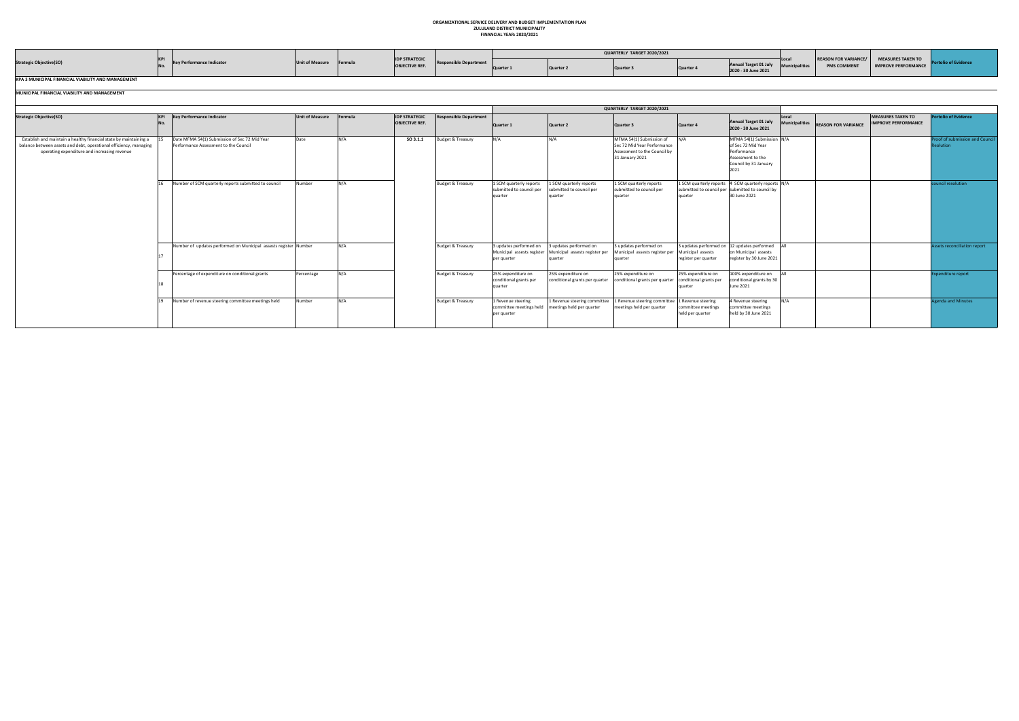## **ORGANIZATIONAL SERVICE DELIVERY AND BUDGET IMPLEMENTATION PLAN ZULULAND DISTRICT MUNICIPALITY**

|  |  | -------------------------------- |  |
|--|--|----------------------------------|--|
|  |  | <b>FINANCIAL YEAR: 2020/2021</b> |  |

|                                                    |  |           |        |                                               |  | QUARTERLY TARGET 2020/2021 |                                              |                                                  |                                                 |               |
|----------------------------------------------------|--|-----------|--------|-----------------------------------------------|--|----------------------------|----------------------------------------------|--------------------------------------------------|-------------------------------------------------|---------------|
| <b>Strategic Objective(SO)</b>                     |  | f Measure | Formul | <b>IDP STRATEGIC</b><br><b>OBJECTIVE REF.</b> |  | Quarte                     | Annual Target 01 July<br>2020 - 30 June 2021 | <b>REASON FOR VARIANCE/</b><br><b>PMS COMMEN</b> | MEASURES TAKEN TO<br><b>IMPROVE PERFORMANCE</b> | yno or eviuer |
| KPA 3 MUNICIPAL FINANCIAL VIABILITY AND MANAGEMENT |  |           |        |                                               |  |                            |                                              |                                                  |                                                 |               |

|                                                                                                                                                                                        |    |                                                                                        |                        |         |                                               |                               |                                                                     |                                                                     | QUARTERLY TARGET 2020/2021                                                                                 |                                                                |                                                                                                                         |                         |                            |                                                        |                                |
|----------------------------------------------------------------------------------------------------------------------------------------------------------------------------------------|----|----------------------------------------------------------------------------------------|------------------------|---------|-----------------------------------------------|-------------------------------|---------------------------------------------------------------------|---------------------------------------------------------------------|------------------------------------------------------------------------------------------------------------|----------------------------------------------------------------|-------------------------------------------------------------------------------------------------------------------------|-------------------------|----------------------------|--------------------------------------------------------|--------------------------------|
| <b>Strategic Objective(SO)</b>                                                                                                                                                         |    | KPI Key Performance Indicator                                                          | <b>Unit of Measure</b> | Formula | <b>IDP STRATEGIC</b><br><b>OBJECTIVE REF.</b> | <b>Responsible Department</b> | Quarter 1                                                           | Quarter 2                                                           | Quarter 3                                                                                                  | Quarter 4                                                      | Annual Target 01 July<br>2020 - 30 June 2021                                                                            | Local<br>Municipalities | <b>REASON FOR VARIANCE</b> | <b>MEASURES TAKEN TO</b><br><b>IMPROVE PERFORMANCE</b> | <b>Portolio of Evidence</b>    |
| Establish and maintain a healthy financial state by maintaining a<br>balance between assets and debt, operational efficiency, managing<br>operating expenditure and increasing revenue |    | Date MFMA 54(1) Submission of Sec 72 Mid Year<br>Performance Assessment to the Council | Date                   | N/A     | SO 3.1.1                                      | <b>Budget &amp; Treasury</b>  | N/A                                                                 | N/A                                                                 | MFMA 54(1) Submission of<br>Sec 72 Mid Year Performance<br>Assessment to the Council by<br>31 January 2021 | N/A                                                            | MFMA 54(1) Submission N/A<br>of Sec 72 Mid Year<br>Performance<br>Assessment to the<br>Council by 31 January<br>2021    |                         |                            |                                                        | roof of submission and Council |
|                                                                                                                                                                                        |    | Number of SCM quarterly reports submitted to council                                   | Number                 | N/A     |                                               | <b>Budget &amp; Treasury</b>  | 1 SCM quarterly reports<br>submitted to council per<br>quarter      | 1 SCM quarterly reports<br>submitted to council per<br>quarter      | 1 SCM quarterly reports<br>submitted to council per<br>quarter                                             | quarter                                                        | 1 SCM quarterly reports 4 SCM quarterly reports N/A<br>submitted to council per submitted to council by<br>30 June 2021 |                         |                            |                                                        | ouncil resolution              |
|                                                                                                                                                                                        |    | Number of updates performed on Municipal assests register Number                       |                        | N/A     |                                               | <b>Budget &amp; Treasury</b>  | 3 updates performed on<br>Municipal assests register<br>per quarter | 3 updates performed on<br>Municipal assests register per<br>quarter | 3 updates performed on<br>Municipal assests register per<br>quarter                                        | Municipal assests<br>register per quarter                      | 3 updates performed on 12 updates performed All<br>on Municipal assests<br>register by 30 June 2021                     |                         |                            |                                                        | ssets reconciliation report    |
|                                                                                                                                                                                        | 19 | Percentage of expenditure on conditional grants                                        | Percentage             | N/A     |                                               | <b>Budget &amp; Treasury</b>  | 25% expenditure on<br>conditional grants per<br>quarter             | 25% expenditure on<br>conditional grants per quarter                | 25% expenditure on<br>conditional grants per quarter                                                       | 25% expenditure on<br>conditional grants per<br><b>suartei</b> | 100% expenditure on<br>conditional grants by 30<br>June 2021                                                            |                         |                            |                                                        | spenditure report              |
|                                                                                                                                                                                        |    | Number of revenue steering committee meetings held                                     | Number                 | N/A     |                                               | <b>Budget &amp; Treasury</b>  | 1 Revenue steering<br>committee meetings held<br>per quarter        | 1 Revenue steering committee<br>meetings held per quarter           | 1 Revenue steering committee<br>meetings held per quarter                                                  | 1 Revenue steering<br>committee meetings<br>held per quarter   | 4 Revenue steering<br>committee meetings<br>held by 30 June 2021                                                        | N/A                     |                            |                                                        | genda and Minutes              |

## **MUNICIPAL FINANCIAL VIABILITY AND MANAGEMENT**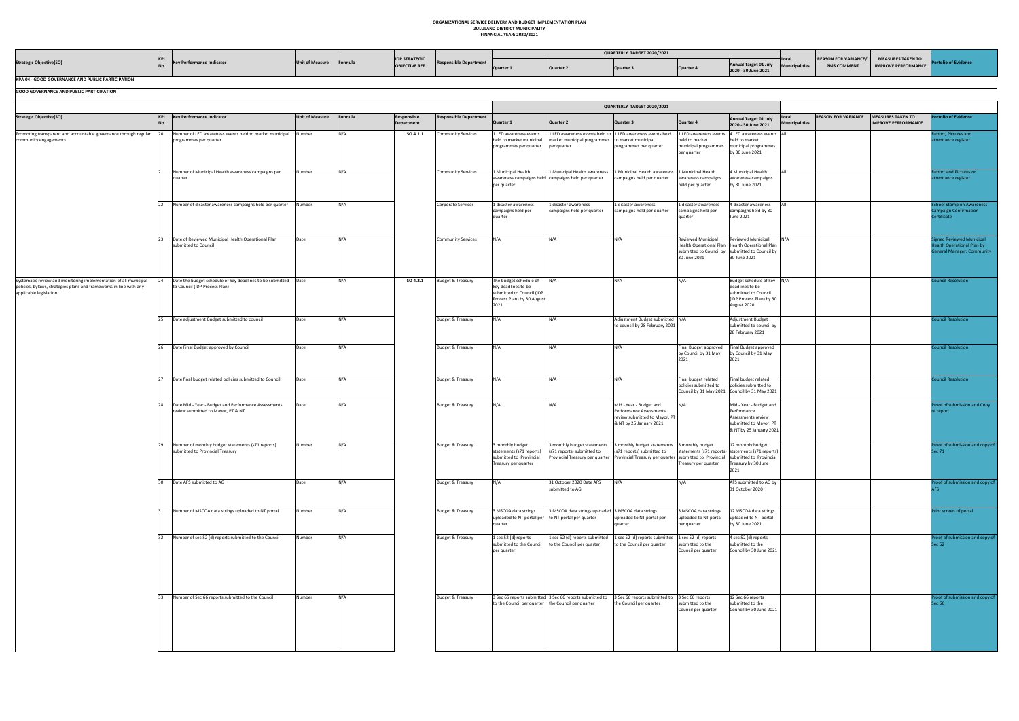## **ORGANIZATIONAL SERVICE DELIVERY AND BUDGET IMPLEMENTATION PLAN ZULULAND DISTRICT MUNICIPALITY FINANCIAL YEAR: 2020/2021**

|                                                   |  |                        |         |                                               |  | QUARTERLY TARGET 2020/2021 |                |                                              |                                               |                                                        |  |
|---------------------------------------------------|--|------------------------|---------|-----------------------------------------------|--|----------------------------|----------------|----------------------------------------------|-----------------------------------------------|--------------------------------------------------------|--|
| <b>Strategic Objective(SO)</b>                    |  | <b>Jnit of Measure</b> | Formul. | <b>IDP STRATEGIC</b><br><b>OBJECTIVE REF.</b> |  | Quarter                    | <b>Quarter</b> | Annual Target 01 July<br>2020 - 30 June 2021 | <b>REASON FOR VARIANCE/</b><br>DASC CORSARENC | <b>MEASURES TAKEN TO</b><br><b>IMPROVE PERFORMANCE</b> |  |
| KPA 04 - GOOD GOVERNANCE AND PUBLIC PARTICIPATION |  |                        |         |                                               |  |                            |                |                                              |                                               |                                                        |  |

|                                                                                                                                                                  |                         |                                                                                                   |                        |         |                           |                               |                                                                                                                  |                                                                                                                                                                                                     | QUARTERLY TARGET 2020/2021                                                                                     |                                                                                 |                                                                                                                                                     |                                                              |                                                        |                                                                                           |
|------------------------------------------------------------------------------------------------------------------------------------------------------------------|-------------------------|---------------------------------------------------------------------------------------------------|------------------------|---------|---------------------------|-------------------------------|------------------------------------------------------------------------------------------------------------------|-----------------------------------------------------------------------------------------------------------------------------------------------------------------------------------------------------|----------------------------------------------------------------------------------------------------------------|---------------------------------------------------------------------------------|-----------------------------------------------------------------------------------------------------------------------------------------------------|--------------------------------------------------------------|--------------------------------------------------------|-------------------------------------------------------------------------------------------|
| <b>Strategic Objective(SO)</b>                                                                                                                                   | <b>KPI</b><br><b>No</b> | <b>Key Performance Indicator</b>                                                                  | <b>Unit of Measure</b> | Formula | Responsible<br>Department | <b>Responsible Department</b> | Quarter 1                                                                                                        | Quarter 2                                                                                                                                                                                           | Quarter 3                                                                                                      | Quarter 4                                                                       | <b>Annual Target 01 July</b><br>2020 - 30 June 2021                                                                                                 | <b>REASON FOR VARIANCE</b><br>Local<br><b>Municipalities</b> | <b>MEASURES TAKEN TO</b><br><b>IMPROVE PERFORMANCE</b> | <b>Portolio of Evidence</b>                                                               |
| Promoting transparent and accountable governance through regular 20<br>community engagements                                                                     |                         | Number of LED awareness events held to market municipal Number<br>programmes per quarter          |                        | N/A     | SO 4.1.1                  | <b>Community Services</b>     | 1 LED awareness events<br>held to market municipal<br>programmes per quarter                                     | 1 LED awareness events held to 1 LED awareness events held<br>market municipal programmes to market municipal<br>per quarter                                                                        | programmes per quarter                                                                                         | 1 LED awareness events<br>held to market<br>municipal programmes<br>per quarter | 4 LED awareness events All<br>held to market<br>municipal programmes<br>by 30 June 2021                                                             |                                                              |                                                        | port, Pictures and<br>tendance register                                                   |
|                                                                                                                                                                  | 21                      | Number of Municipal Health awareness campaigns per<br>quarter                                     | Number                 | N/A     |                           | <b>Community Services</b>     | 1 Municipal Health<br>per quarter                                                                                | 1 Municipal Health awareness<br>awareness campaigns held campaigns held per quarter                                                                                                                 | 1 Municipal Health awareness<br>campaigns held per quarter                                                     | 1 Municipal Health<br>awareness campaigns<br>held per quarter                   | 4 Municipal Health<br>awareness campaigns<br>by 30 June 2021                                                                                        |                                                              |                                                        | port and Pictures or<br>tendance register                                                 |
|                                                                                                                                                                  | 22                      | Number of disaster awareness campaigns held per quarter Number                                    |                        | N/A     |                           | Corporate Services            | 1 disaster awareness<br>campaigns held per<br>quarter                                                            | 1 disaster awareness<br>campaigns held per quarter                                                                                                                                                  | 1 disaster awareness<br>campaigns held per quarter                                                             | 1 disaster awareness<br>campaigns held per<br>quarter                           | 4 disaster awareness<br>campaigns held by 30<br>June 2021                                                                                           |                                                              |                                                        | chool Stamp on Awareness<br>Campaign Confirmation<br>Certificate                          |
|                                                                                                                                                                  | 23                      | Date of Reviewed Municipal Health Operational Plan<br>submitted to Council                        | Date                   | N/A     |                           | <b>Community Services</b>     | N/A                                                                                                              | N/A                                                                                                                                                                                                 | N/A                                                                                                            | Reviewed Municipal<br>30 June 2021                                              | <b>Reviewed Municipal</b><br>Health Operational Plan   Health Operational Plan<br>submitted to Council by   submitted to Council by<br>30 June 2021 | N/A                                                          |                                                        | gned Reviewed Municipal<br>ealth Operational Plan by<br><b>General Manager: Community</b> |
| Systematic review and monitoring implementation of all municipal<br>policies, bylaws, strategies plans and frameworks in line with any<br>applicable legislation | 24                      | Date the budget schedule of key deadlines to be submitted   Date<br>to Council (IDP Process Plan) |                        | N/A     | SO 4.2.1                  | Budget & Treasury             | The budget schedule of<br>key deadlines to be<br>submitted to Council (IDP<br>Process Plan) by 30 August<br>2021 | N/A                                                                                                                                                                                                 | N/A                                                                                                            | N/A                                                                             | Budget schedule of key N/A<br>deadlines to be<br>submitted to Council<br>(IDP Process Plan) by 30<br>August 2020                                    |                                                              |                                                        | ouncil Resolution                                                                         |
|                                                                                                                                                                  | 25                      | Date adjustment Budget submitted to council                                                       | Date                   | N/A     |                           | Budget & Treasury             | N/A                                                                                                              | N/A                                                                                                                                                                                                 | Adjustment Budget submitted N/A<br>to council by 28 February 2021                                              |                                                                                 | Adjustment Budget<br>submitted to council by<br>28 February 2021                                                                                    |                                                              |                                                        | <b>Council Resolution</b>                                                                 |
|                                                                                                                                                                  | 26                      | Date Final Budget approved by Council                                                             | Date                   | N/A     |                           | Budget & Treasury             | N/A                                                                                                              | N/A                                                                                                                                                                                                 | N/A                                                                                                            | Final Budget approved<br>by Council by 31 May<br>2021                           | Final Budget approved<br>by Council by 31 May<br>2021                                                                                               |                                                              |                                                        | ouncil Resolution                                                                         |
|                                                                                                                                                                  | 27                      | Date final budget related policies submitted to Council                                           | Date                   | N/A     |                           | Budget & Treasury             | N/A                                                                                                              | N/A                                                                                                                                                                                                 | N/A                                                                                                            | Final budget related<br>policies submitted to                                   | Final budget related<br>policies submitted to<br>Council by 31 May 2021 Council by 31 May 2021                                                      |                                                              |                                                        | <b>Duncil Resolution</b>                                                                  |
|                                                                                                                                                                  | 28                      | Date Mid - Year - Budget and Performance Assessments<br>review submitted to Mayor, PT & NT        | Date                   | N/A     |                           | Budget & Treasury             | N/A                                                                                                              | N/A                                                                                                                                                                                                 | Mid - Year - Budget and<br>Performance Assessments<br>review submitted to Mayor, PT<br>& NT by 25 January 2021 | N/A                                                                             | Mid - Year - Budget and<br>Performance<br>Assessments review<br>submitted to Mayor, PT<br>& NT by 25 January 2021                                   |                                                              |                                                        | Proof of submission and Copy<br>f report                                                  |
|                                                                                                                                                                  | 29                      | Number of monthly budget statements (s71 reports)<br>submitted to Provincial Treasury             | Number                 | N/A     |                           | Budget & Treasury             | 3 monthly budget<br>statements (s71 reports)<br>submitted to Provincial<br>Treasury per quarter                  | 3 monthly budget statements 3 monthly budget statements 3 monthly budget<br>(s71 reports) submitted to<br>Provincial Treasury per quarter Provincial Treasury per quarter   submitted to Provincial | (s71 reports) submitted to                                                                                     | Treasury per quarter                                                            | 12 monthly budget<br>statements (s71 reports) statements (s71 reports)<br>submitted to Provincial<br>Treasury by 30 June<br>2021                    |                                                              |                                                        | oof of submission and copy of<br>Sec 71                                                   |
|                                                                                                                                                                  |                         | Date AFS submitted to AG                                                                          | Date                   | N/A     |                           | Budget & Treasury             | N/A                                                                                                              | 31 October 2020 Date AFS<br>submitted to AG                                                                                                                                                         | N/A                                                                                                            | N/A                                                                             | AFS submitted to AG by<br>31 October 2020                                                                                                           |                                                              |                                                        | Proof of submission and copy of                                                           |
|                                                                                                                                                                  | 31                      | Number of MSCOA data strings uploaded to NT portal                                                | Number                 | N/A     |                           | Budget & Treasury             | 3 MSCOA data strings<br>uploaded to NT portal per to NT portal per quarter<br>quarter                            | 3 MSCOA data strings uploaded 3 MSCOA data strings                                                                                                                                                  | uploaded to NT portal per<br>quarter                                                                           | 3 MSCOA data strings<br>uploaded to NT portal<br>per quarter                    | 12 MSCOA data strings<br>uploaded to NT portal<br>by 30 June 2021                                                                                   |                                                              |                                                        | Print screen of portal                                                                    |
|                                                                                                                                                                  |                         | 32   Number of sec 52 (d) reports submitted to the Council                                        | Number                 | N/A     |                           | Budget & Treasury             | 1 sec 52 (d) reports<br>per quarter                                                                              | 1 sec 52 (d) reports submitted 1 sec 52 (d) reports submitted 1 sec 52 (d) reports<br>submitted to the Council to the Council per quarter                                                           | to the Council per quarter                                                                                     | submitted to the<br>Council per quarter                                         | 4 sec 52 (d) reports<br>submitted to the<br>Council by 30 June 2021                                                                                 |                                                              |                                                        | Proof of submission and copy of<br><b>Sec 52</b>                                          |
|                                                                                                                                                                  |                         | 33 Number of Sec 66 reports submitted to the Council                                              | Number                 | N/A     |                           | Budget & Treasury             | to the Council per quarter the Council per quarter                                                               | 3 Sec 66 reports submitted 3 Sec 66 reports submitted to 3 Sec 66 reports submitted to 3 Sec 66 reports                                                                                             | the Council per quarter                                                                                        | submitted to the<br>Council per quarter                                         | 12 Sec 66 reports<br>submitted to the<br>Council by 30 June 2021                                                                                    |                                                              |                                                        | roof of submission and copy of<br>Sec 66                                                  |

**GOOD GOVERNANCE AND PUBLIC PARTICIPATION**